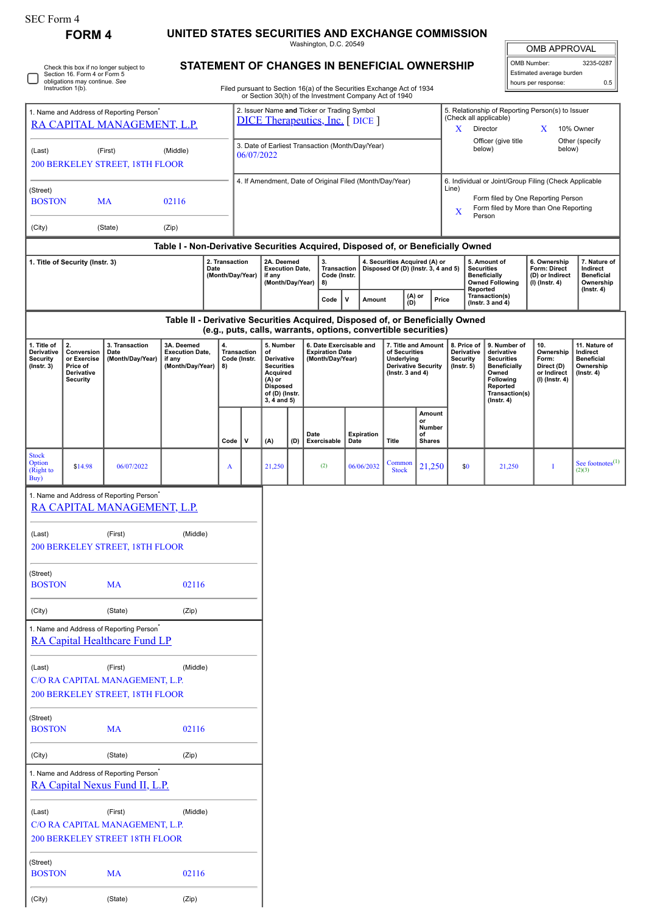| SEC Form 4 |
|------------|
|------------|

## **FORM 4 UNITED STATES SECURITIES AND EXCHANGE COMMISSION**

Washington, D.C. 20549

OMB APPROVAL

 $\mathbb I$ 

| OMB Number:              | 3235-0287 |  |  |  |  |
|--------------------------|-----------|--|--|--|--|
| Estimated average burden |           |  |  |  |  |
| hours per response:      | 0.5       |  |  |  |  |

Check this box if no longer subject to Section 16. Form 4 or Form 5 obligations may continue. *See* Instruction 1(b).

## **STATEMENT OF CHANGES IN BENEFICIAL OWNERSHIP**

Filed pursuant to Section 16(a) of the Securities Exchange Act of 1934 or Section 30(h) of the Investment Company Act of 1940

| 1. Name and Address of Reporting Person <sup>®</sup><br>RA CAPITAL MANAGEMENT, L.P. |                                                                                                                                      |                                                                                        |                                                                                  |  | 2. Issuer Name and Ticker or Trading Symbol<br><b>DICE Therapeutics, Inc.</b> [DICE ] |                                                  |                                                                                                                                |                             |                                                                                                                                                 |                                                                      |            |                                                                                                   | 5. Relationship of Reporting Person(s) to Issuer<br>(Check all applicable)<br>10% Owner<br>X<br>Director<br>X                                                |                                                                                                |                                                                     |                                                                                                                                                |                                                                          |                                                                           |
|-------------------------------------------------------------------------------------|--------------------------------------------------------------------------------------------------------------------------------------|----------------------------------------------------------------------------------------|----------------------------------------------------------------------------------|--|---------------------------------------------------------------------------------------|--------------------------------------------------|--------------------------------------------------------------------------------------------------------------------------------|-----------------------------|-------------------------------------------------------------------------------------------------------------------------------------------------|----------------------------------------------------------------------|------------|---------------------------------------------------------------------------------------------------|--------------------------------------------------------------------------------------------------------------------------------------------------------------|------------------------------------------------------------------------------------------------|---------------------------------------------------------------------|------------------------------------------------------------------------------------------------------------------------------------------------|--------------------------------------------------------------------------|---------------------------------------------------------------------------|
| (First)<br>(Middle)<br>(Last)<br>06/07/2022<br>200 BERKELEY STREET, 18TH FLOOR      |                                                                                                                                      |                                                                                        |                                                                                  |  |                                                                                       | 3. Date of Earliest Transaction (Month/Day/Year) |                                                                                                                                |                             |                                                                                                                                                 |                                                                      |            |                                                                                                   |                                                                                                                                                              | Other (specify<br>Officer (give title<br>below)<br>below)                                      |                                                                     |                                                                                                                                                |                                                                          |                                                                           |
| (Street)<br>02116<br><b>BOSTON</b><br><b>MA</b>                                     |                                                                                                                                      |                                                                                        |                                                                                  |  | 4. If Amendment, Date of Original Filed (Month/Day/Year)                              |                                                  |                                                                                                                                |                             |                                                                                                                                                 |                                                                      |            |                                                                                                   | 6. Individual or Joint/Group Filing (Check Applicable<br>Line)<br>Form filed by One Reporting Person<br>Form filed by More than One Reporting<br>X<br>Person |                                                                                                |                                                                     |                                                                                                                                                |                                                                          |                                                                           |
| (City)                                                                              |                                                                                                                                      | (State)                                                                                | (Zip)                                                                            |  |                                                                                       |                                                  |                                                                                                                                |                             |                                                                                                                                                 |                                                                      |            |                                                                                                   |                                                                                                                                                              |                                                                                                |                                                                     |                                                                                                                                                |                                                                          |                                                                           |
|                                                                                     |                                                                                                                                      |                                                                                        | Table I - Non-Derivative Securities Acquired, Disposed of, or Beneficially Owned |  |                                                                                       |                                                  |                                                                                                                                |                             |                                                                                                                                                 |                                                                      |            |                                                                                                   |                                                                                                                                                              |                                                                                                |                                                                     |                                                                                                                                                |                                                                          |                                                                           |
| 2. Transaction<br>1. Title of Security (Instr. 3)<br>Date<br>(Month/Day/Year)       |                                                                                                                                      |                                                                                        |                                                                                  |  | 2A. Deemed<br><b>Execution Date,</b><br>if any<br>(Month/Day/Year)                    |                                                  | 3.<br>8)                                                                                                                       | Transaction<br>Code (Instr. |                                                                                                                                                 | 4. Securities Acquired (A) or<br>Disposed Of (D) (Instr. 3, 4 and 5) |            |                                                                                                   |                                                                                                                                                              | 5. Amount of<br><b>Securities</b><br><b>Beneficially</b><br><b>Owned Following</b><br>Reported | 6. Ownership<br>Form: Direct<br>(D) or Indirect<br>$(I)$ (Instr. 4) | 7. Nature of<br>Indirect<br><b>Beneficial</b><br>Ownership                                                                                     |                                                                          |                                                                           |
|                                                                                     |                                                                                                                                      |                                                                                        |                                                                                  |  |                                                                                       |                                                  |                                                                                                                                |                             | Code                                                                                                                                            | v                                                                    | Amount     | (A) or<br>(D)                                                                                     | Price                                                                                                                                                        |                                                                                                |                                                                     | Transaction(s)<br>(Instr. $3$ and $4$ )                                                                                                        |                                                                          | $($ Instr. 4 $)$                                                          |
|                                                                                     |                                                                                                                                      |                                                                                        |                                                                                  |  |                                                                                       |                                                  |                                                                                                                                |                             | Table II - Derivative Securities Acquired, Disposed of, or Beneficially Owned<br>(e.g., puts, calls, warrants, options, convertible securities) |                                                                      |            |                                                                                                   |                                                                                                                                                              |                                                                                                |                                                                     |                                                                                                                                                |                                                                          |                                                                           |
| 1. Title of<br>Derivative<br>Security<br>$($ Instr. 3 $)$                           | 2.<br>3. Transaction<br>Conversion<br>Date<br>or Exercise<br>(Month/Day/Year)<br>if any<br>Price of<br>Derivative<br><b>Security</b> |                                                                                        | 3A. Deemed<br><b>Execution Date,</b><br>(Month/Day/Year)                         |  | 4.<br>Transaction<br>Code (Instr.<br>8)                                               |                                                  | 5. Number<br>of<br>Derivative<br><b>Securities</b><br>Acquired<br>$(A)$ or<br><b>Disposed</b><br>of (D) (Instr.<br>3, 4 and 5) |                             | 6. Date Exercisable and<br><b>Expiration Date</b><br>(Month/Day/Year)                                                                           |                                                                      |            | 7. Title and Amount<br>of Securities<br>Underlying<br>Derivative Security<br>( $lnstr. 3 and 4$ ) |                                                                                                                                                              | 8. Price of<br>Derivative<br><b>Security</b><br>$($ Instr. 5 $)$                               |                                                                     | 9. Number of<br>derivative<br><b>Securities</b><br><b>Beneficially</b><br>Owned<br>Following<br>Reported<br>Transaction(s)<br>$($ Instr. 4 $)$ | 10.<br>Ownership<br>Form:<br>Direct (D)<br>or Indirect<br>(I) (Instr. 4) | 11. Nature of<br>Indirect<br><b>Beneficial</b><br>Ownership<br>(Instr. 4) |
|                                                                                     |                                                                                                                                      |                                                                                        |                                                                                  |  | Code                                                                                  | ٧                                                | (A)                                                                                                                            | (D)                         | Date<br>Exercisable                                                                                                                             | Date                                                                 | Expiration | Title                                                                                             | Amount<br>or<br>Number<br>of<br><b>Shares</b>                                                                                                                |                                                                                                |                                                                     |                                                                                                                                                |                                                                          |                                                                           |
| <b>Stock</b><br>Option<br>(Right to<br>Buy)                                         | \$14.98                                                                                                                              | 06/07/2022                                                                             |                                                                                  |  | A                                                                                     |                                                  | 21,250                                                                                                                         |                             | (2)                                                                                                                                             |                                                                      | 06/06/2032 | Common<br><b>Stock</b>                                                                            | 21,250                                                                                                                                                       |                                                                                                | \$0                                                                 | 21,250                                                                                                                                         | I                                                                        | See footnotes $\hspace{-.03cm}(1)$<br>(2)(3)                              |
|                                                                                     |                                                                                                                                      | 1. Name and Address of Reporting Person <sup>®</sup><br>RA CAPITAL MANAGEMENT, L.P.    |                                                                                  |  |                                                                                       |                                                  |                                                                                                                                |                             |                                                                                                                                                 |                                                                      |            |                                                                                                   |                                                                                                                                                              |                                                                                                |                                                                     |                                                                                                                                                |                                                                          |                                                                           |
|                                                                                     |                                                                                                                                      |                                                                                        |                                                                                  |  |                                                                                       |                                                  |                                                                                                                                |                             |                                                                                                                                                 |                                                                      |            |                                                                                                   |                                                                                                                                                              |                                                                                                |                                                                     |                                                                                                                                                |                                                                          |                                                                           |
| (Last)                                                                              |                                                                                                                                      | (First)<br>200 BERKELEY STREET, 18TH FLOOR                                             | (Middle)                                                                         |  |                                                                                       |                                                  |                                                                                                                                |                             |                                                                                                                                                 |                                                                      |            |                                                                                                   |                                                                                                                                                              |                                                                                                |                                                                     |                                                                                                                                                |                                                                          |                                                                           |
| (Street)<br><b>BOSTON</b>                                                           |                                                                                                                                      | MA                                                                                     | 02116                                                                            |  |                                                                                       |                                                  |                                                                                                                                |                             |                                                                                                                                                 |                                                                      |            |                                                                                                   |                                                                                                                                                              |                                                                                                |                                                                     |                                                                                                                                                |                                                                          |                                                                           |
| (City)                                                                              |                                                                                                                                      | (State)                                                                                | (Zip)                                                                            |  |                                                                                       |                                                  |                                                                                                                                |                             |                                                                                                                                                 |                                                                      |            |                                                                                                   |                                                                                                                                                              |                                                                                                |                                                                     |                                                                                                                                                |                                                                          |                                                                           |
|                                                                                     |                                                                                                                                      | 1. Name and Address of Reporting Person <sup>*</sup><br>RA Capital Healthcare Fund LP  |                                                                                  |  |                                                                                       |                                                  |                                                                                                                                |                             |                                                                                                                                                 |                                                                      |            |                                                                                                   |                                                                                                                                                              |                                                                                                |                                                                     |                                                                                                                                                |                                                                          |                                                                           |
| (Last)                                                                              |                                                                                                                                      | (First)<br>C/O RA CAPITAL MANAGEMENT, L.P.<br>200 BERKELEY STREET, 18TH FLOOR          | (Middle)                                                                         |  |                                                                                       |                                                  |                                                                                                                                |                             |                                                                                                                                                 |                                                                      |            |                                                                                                   |                                                                                                                                                              |                                                                                                |                                                                     |                                                                                                                                                |                                                                          |                                                                           |
| (Street)<br><b>BOSTON</b>                                                           |                                                                                                                                      | <b>MA</b>                                                                              | 02116                                                                            |  |                                                                                       |                                                  |                                                                                                                                |                             |                                                                                                                                                 |                                                                      |            |                                                                                                   |                                                                                                                                                              |                                                                                                |                                                                     |                                                                                                                                                |                                                                          |                                                                           |
| (City)                                                                              |                                                                                                                                      | (State)                                                                                | (Zip)                                                                            |  |                                                                                       |                                                  |                                                                                                                                |                             |                                                                                                                                                 |                                                                      |            |                                                                                                   |                                                                                                                                                              |                                                                                                |                                                                     |                                                                                                                                                |                                                                          |                                                                           |
|                                                                                     |                                                                                                                                      | 1. Name and Address of Reporting Person <sup>*</sup><br>RA Capital Nexus Fund II, L.P. |                                                                                  |  |                                                                                       |                                                  |                                                                                                                                |                             |                                                                                                                                                 |                                                                      |            |                                                                                                   |                                                                                                                                                              |                                                                                                |                                                                     |                                                                                                                                                |                                                                          |                                                                           |
| (Last)                                                                              |                                                                                                                                      | (First)<br>C/O RA CAPITAL MANAGEMENT, L.P.                                             | (Middle)                                                                         |  |                                                                                       |                                                  |                                                                                                                                |                             |                                                                                                                                                 |                                                                      |            |                                                                                                   |                                                                                                                                                              |                                                                                                |                                                                     |                                                                                                                                                |                                                                          |                                                                           |
|                                                                                     |                                                                                                                                      | 200 BERKELEY STREET 18TH FLOOR                                                         |                                                                                  |  |                                                                                       |                                                  |                                                                                                                                |                             |                                                                                                                                                 |                                                                      |            |                                                                                                   |                                                                                                                                                              |                                                                                                |                                                                     |                                                                                                                                                |                                                                          |                                                                           |
| (Street)<br><b>BOSTON</b>                                                           |                                                                                                                                      | <b>MA</b>                                                                              | 02116                                                                            |  |                                                                                       |                                                  |                                                                                                                                |                             |                                                                                                                                                 |                                                                      |            |                                                                                                   |                                                                                                                                                              |                                                                                                |                                                                     |                                                                                                                                                |                                                                          |                                                                           |
| (City)                                                                              |                                                                                                                                      | (State)                                                                                | (Zip)                                                                            |  |                                                                                       |                                                  |                                                                                                                                |                             |                                                                                                                                                 |                                                                      |            |                                                                                                   |                                                                                                                                                              |                                                                                                |                                                                     |                                                                                                                                                |                                                                          |                                                                           |